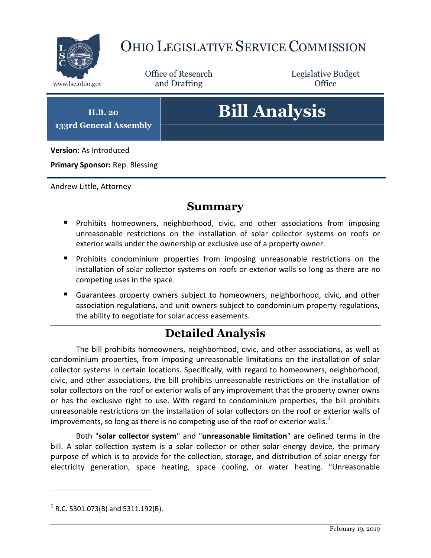

# OHIO LEGISLATIVE SERVICE COMMISSION

Office of Research www.lsc.ohio.gov and Drafting Control of Control of the Control of Control of the Control of Control of the Control of the Control of the Control of the Control of the Control of the Control of the Control of the Control o

Legislative Budget

**H.B. 20 133rd General Assembly**

# **Bill Analysis**

**Version:** As Introduced

**Primary Sponsor:** Rep. Blessing

Andrew Little, Attorney

### **Summary**

- **Prohibits homeowners, neighborhood, civic, and other associations from imposing** unreasonable restrictions on the installation of solar collector systems on roofs or exterior walls under the ownership or exclusive use of a property owner.
- **Prohibits condominium properties from imposing unreasonable restrictions on the** installation of solar collector systems on roofs or exterior walls so long as there are no competing uses in the space.
- Guarantees property owners subject to homeowners, neighborhood, civic, and other association regulations, and unit owners subject to condominium property regulations, the ability to negotiate for solar access easements.

# **Detailed Analysis**

The bill prohibits homeowners, neighborhood, civic, and other associations, as well as condominium properties, from imposing unreasonable limitations on the installation of solar collector systems in certain locations. Specifically, with regard to homeowners, neighborhood, civic, and other associations, the bill prohibits unreasonable restrictions on the installation of solar collectors on the roof or exterior walls of any improvement that the property owner owns or has the exclusive right to use. With regard to condominium properties, the bill prohibits unreasonable restrictions on the installation of solar collectors on the roof or exterior walls of improvements, so long as there is no competing use of the roof or exterior walls. $<sup>1</sup>$ </sup>

Both "**solar collector system**" and "**unreasonable limitation**" are defined terms in the bill. A solar collection system is a solar collector or other solar energy device, the primary purpose of which is to provide for the collection, storage, and distribution of solar energy for electricity generation, space heating, space cooling, or water heating. "Unreasonable

 $\overline{a}$ 

 $^{1}$  R.C. 5301.073(B) and 5311.192(B).